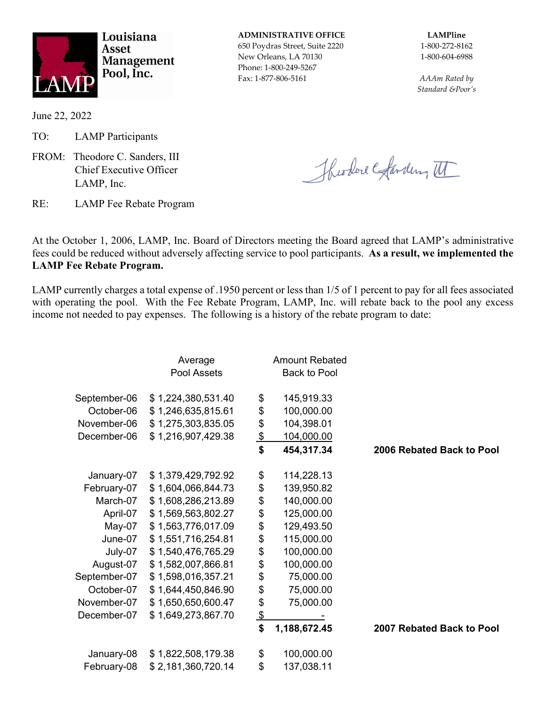

Louisiana **Asset Management** Pool, Inc.

**ADMINISTRATIVE OFFICE LAMPline**

650 Poydras Street, Suite 2220 1-800-272-8162 New Orleans, LA 70130 1-800-604-6988 Phone: 1-800-249-5267 Fax: 1-877-806-5161 *AAAm Rated by*

*Standard &Poor's*

June 22, 2022

TO: LAMP Participants

FROM: Theodore C. Sanders, III Chief Executive Officer LAMP, Inc.

Theodore Garden, II

RE: LAMP Fee Rebate Program

At the October 1, 2006, LAMP, Inc. Board of Directors meeting the Board agreed that LAMP's administrative fees could be reduced without adversely affecting service to pool participants. **As a result, we implemented the LAMP Fee Rebate Program.**

LAMP currently charges a total expense of .1950 percent or less than 1/5 of 1 percent to pay for all fees associated with operating the pool. With the Fee Rebate Program, LAMP, Inc. will rebate back to the pool any excess income not needed to pay expenses. The following is a history of the rebate program to date:

|              | Average            |               | <b>Amount Rebated</b> |                           |
|--------------|--------------------|---------------|-----------------------|---------------------------|
|              | Pool Assets        |               | <b>Back to Pool</b>   |                           |
| September-06 | \$1,224,380,531.40 | \$            | 145,919.33            |                           |
| October-06   | \$1,246,635,815.61 | \$            | 100,000.00            |                           |
| November-06  | \$1,275,303,835.05 | \$            | 104,398.01            |                           |
| December-06  | \$1,216,907,429.38 | $\frac{1}{2}$ | 104,000.00            |                           |
|              |                    | \$            | 454,317.34            | 2006 Rebated Back to Pool |
| January-07   | \$1,379,429,792.92 | \$            | 114,228.13            |                           |
| February-07  | \$1,604,066,844.73 | \$            | 139,950.82            |                           |
| March-07     | \$1,608,286,213.89 | \$            | 140,000.00            |                           |
| April-07     | \$1,569,563,802.27 | \$            | 125,000.00            |                           |
| May-07       | \$1,563,776,017.09 | \$            | 129,493.50            |                           |
| June-07      | \$1,551,716,254.81 | \$            | 115,000.00            |                           |
| July-07      | \$1,540,476,765.29 | \$            | 100,000.00            |                           |
| August-07    | \$1,582,007,866.81 | \$            | 100,000.00            |                           |
| September-07 | \$1,598,016,357.21 | \$            | 75,000.00             |                           |
| October-07   | \$1,644,450,846.90 | \$            | 75,000.00             |                           |
| November-07  | \$1,650,650,600.47 | \$            | 75,000.00             |                           |
| December-07  | \$1,649,273,867.70 | $\frac{3}{5}$ |                       |                           |
|              |                    |               | 1,188,672.45          | 2007 Rebated Back to Pool |
| January-08   | \$1,822,508,179.38 | \$            | 100,000.00            |                           |
| February-08  | \$2,181,360,720.14 | \$            | 137,038.11            |                           |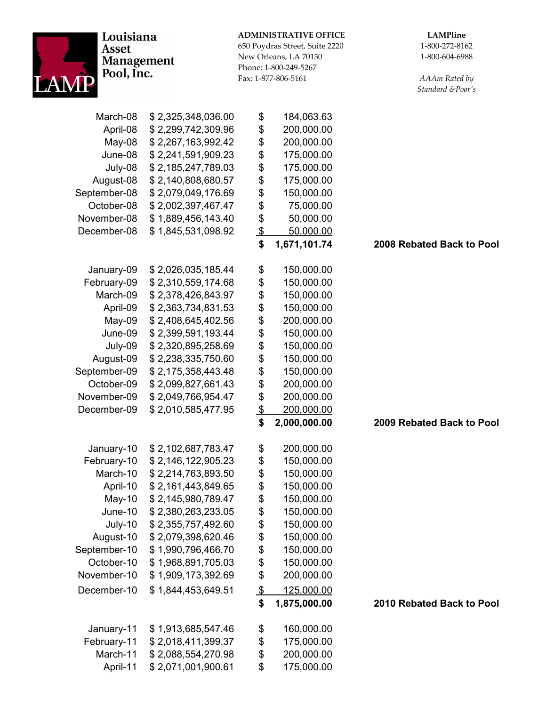| Louisiana<br><b>Asset</b><br><b>Management</b><br>Pool, Inc. |                    | <b>ADMINISTRATIVE OFFICE</b><br>650 Poydras Street, Suite 2220<br>New Orleans, LA 70130<br>Phone: 1-800-249-5267<br>Fax: 1-877-806-5161 |              | <b>LAMPline</b><br>1-800-272-8162<br>1-800-604-6988<br>AAAm Rated by<br>Standard &Poor's |
|--------------------------------------------------------------|--------------------|-----------------------------------------------------------------------------------------------------------------------------------------|--------------|------------------------------------------------------------------------------------------|
| March-08                                                     | \$2,325,348,036.00 | \$                                                                                                                                      | 184,063.63   |                                                                                          |
| April-08                                                     | \$2,299,742,309.96 | \$                                                                                                                                      | 200,000.00   |                                                                                          |
| May-08                                                       | \$2,267,163,992.42 | \$                                                                                                                                      | 200,000.00   |                                                                                          |
| June-08                                                      | \$2,241,591,909.23 | \$                                                                                                                                      | 175,000.00   |                                                                                          |
| July-08                                                      | \$2,185,247,789.03 | \$                                                                                                                                      | 175,000.00   |                                                                                          |
| August-08                                                    | \$2,140,808,680.57 | \$                                                                                                                                      | 175,000.00   |                                                                                          |
| September-08                                                 | \$2,079,049,176.69 | \$                                                                                                                                      | 150,000.00   |                                                                                          |
| October-08                                                   | \$2,002,397,467.47 | \$                                                                                                                                      | 75,000.00    |                                                                                          |
| November-08                                                  | \$1,889,456,143.40 | \$                                                                                                                                      | 50,000.00    |                                                                                          |
| December-08                                                  | \$1,845,531,098.92 | $\frac{1}{2}$                                                                                                                           | 50,000.00    |                                                                                          |
|                                                              |                    | \$                                                                                                                                      | 1,671,101.74 | 2008 Rebated Back to Pool                                                                |
| January-09                                                   | \$2,026,035,185.44 | \$                                                                                                                                      | 150,000.00   |                                                                                          |
| February-09                                                  | \$2,310,559,174.68 | \$                                                                                                                                      | 150,000.00   |                                                                                          |
| March-09                                                     | \$2,378,426,843.97 | \$                                                                                                                                      | 150,000.00   |                                                                                          |
| April-09                                                     | \$2,363,734,831.53 | \$                                                                                                                                      | 150,000.00   |                                                                                          |
| May-09                                                       | \$2,408,645,402.56 | \$                                                                                                                                      | 200,000.00   |                                                                                          |
| June-09                                                      | \$2,399,591,193.44 | \$                                                                                                                                      | 150,000.00   |                                                                                          |
| July-09                                                      | \$2,320,895,258.69 | \$                                                                                                                                      | 150,000.00   |                                                                                          |
| August-09                                                    | \$2,238,335,750.60 | \$                                                                                                                                      | 150,000.00   |                                                                                          |
| September-09                                                 | \$2,175,358,443.48 | \$                                                                                                                                      | 150,000.00   |                                                                                          |
| October-09                                                   | \$2,099,827,661.43 | \$                                                                                                                                      | 200,000.00   |                                                                                          |
| November-09                                                  | \$2,049,766,954.47 | \$                                                                                                                                      | 200,000.00   |                                                                                          |
| December-09                                                  | \$2,010,585,477.95 | $\boldsymbol{\mathsf{S}}$                                                                                                               | 200,000.00   |                                                                                          |
|                                                              |                    | \$                                                                                                                                      | 2,000,000.00 | 2009 Rebated Back to Pool                                                                |
| January-10                                                   | \$2,102,687,783.47 | \$                                                                                                                                      | 200,000.00   |                                                                                          |
| February-10                                                  | \$2,146,122,905.23 | \$                                                                                                                                      | 150,000.00   |                                                                                          |
| March-10                                                     | \$2,214,763,893.50 | \$                                                                                                                                      | 150,000.00   |                                                                                          |
| April-10                                                     | \$2,161,443,849.65 | \$                                                                                                                                      | 150,000.00   |                                                                                          |
| May-10                                                       | \$2,145,980,789.47 | \$                                                                                                                                      | 150,000.00   |                                                                                          |
| June-10                                                      | \$2,380,263,233.05 | \$                                                                                                                                      | 150,000.00   |                                                                                          |
| July-10                                                      | \$2,355,757,492.60 | \$                                                                                                                                      | 150,000.00   |                                                                                          |
| August-10                                                    | \$2,079,398,620.46 | \$                                                                                                                                      | 150,000.00   |                                                                                          |
| September-10                                                 | \$1,990,796,466.70 | \$                                                                                                                                      | 150,000.00   |                                                                                          |
| October-10                                                   | \$1,968,891,705.03 | \$                                                                                                                                      | 150,000.00   |                                                                                          |
| November-10                                                  | \$1,909,173,392.69 | \$                                                                                                                                      | 200,000.00   |                                                                                          |
| December-10                                                  | \$1,844,453,649.51 | $\frac{1}{2}$                                                                                                                           | 125,000.00   |                                                                                          |
|                                                              |                    | \$                                                                                                                                      | 1,875,000.00 | 2010 Rebated Back to Pool                                                                |
| January-11                                                   | \$1,913,685,547.46 | \$                                                                                                                                      | 160,000.00   |                                                                                          |
| February-11                                                  | \$2,018,411,399.37 | \$                                                                                                                                      | 175,000.00   |                                                                                          |
| March-11                                                     | \$2,088,554,270.98 | \$                                                                                                                                      | 200,000.00   |                                                                                          |
| April-11                                                     | \$2,071,001,900.61 | \$                                                                                                                                      | 175,000.00   |                                                                                          |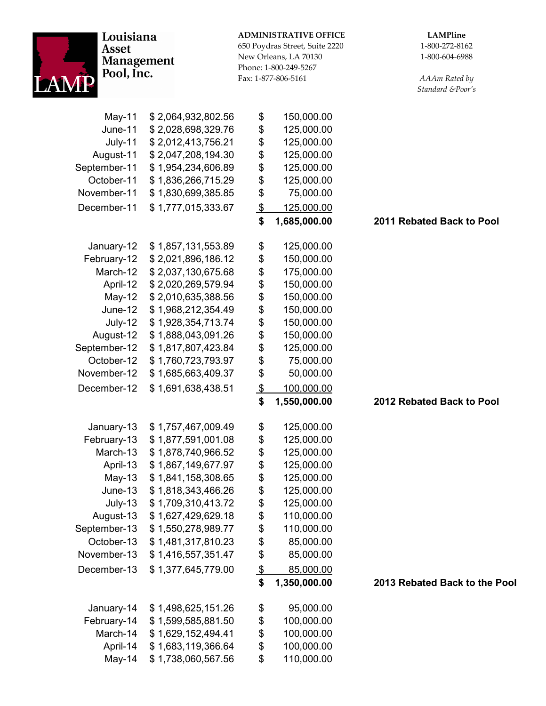| Louisiana<br>Asset<br><b>Management</b><br>Pool, Inc. |                    |               | <b>ADMINISTRATIVE OFFICE</b><br>650 Poydras Street, Suite 2220<br>New Orleans, LA 70130<br>Phone: 1-800-249-5267<br>Fax: 1-877-806-5161 | <b>LAMPline</b><br>1-800-272-8162<br>1-800-604-6988<br>AAAm Rated by<br>Standard &Poor's |
|-------------------------------------------------------|--------------------|---------------|-----------------------------------------------------------------------------------------------------------------------------------------|------------------------------------------------------------------------------------------|
| May-11                                                | \$2,064,932,802.56 | \$            | 150,000.00                                                                                                                              |                                                                                          |
| June-11                                               | \$2,028,698,329.76 | \$            | 125,000.00                                                                                                                              |                                                                                          |
| July-11                                               | \$2,012,413,756.21 | \$            | 125,000.00                                                                                                                              |                                                                                          |
| August-11                                             | \$2,047,208,194.30 | \$            | 125,000.00                                                                                                                              |                                                                                          |
| September-11                                          | \$1,954,234,606.89 | \$            | 125,000.00                                                                                                                              |                                                                                          |
| October-11                                            | \$1,836,266,715.29 | \$            | 125,000.00                                                                                                                              |                                                                                          |
| November-11                                           | \$1,830,699,385.85 | \$            | 75,000.00                                                                                                                               |                                                                                          |
| December-11                                           | \$1,777,015,333.67 | $\frac{1}{2}$ | 125,000.00                                                                                                                              |                                                                                          |
|                                                       |                    | \$            | 1,685,000.00                                                                                                                            | 2011 Rebated Back to Pool                                                                |
| January-12                                            | \$1,857,131,553.89 | \$            | 125,000.00                                                                                                                              |                                                                                          |
| February-12                                           | \$2,021,896,186.12 | \$            | 150,000.00                                                                                                                              |                                                                                          |
| March-12                                              | \$2,037,130,675.68 | \$            | 175,000.00                                                                                                                              |                                                                                          |
| April-12                                              | \$2,020,269,579.94 | \$            | 150,000.00                                                                                                                              |                                                                                          |
| $May-12$                                              | \$2,010,635,388.56 | \$            | 150,000.00                                                                                                                              |                                                                                          |
| June-12                                               | \$1,968,212,354.49 | \$            | 150,000.00                                                                                                                              |                                                                                          |
| July-12                                               | \$1,928,354,713.74 | \$            | 150,000.00                                                                                                                              |                                                                                          |
| August-12                                             | \$1,888,043,091.26 | \$            | 150,000.00                                                                                                                              |                                                                                          |
| September-12                                          | \$1,817,807,423.84 | \$            | 125,000.00                                                                                                                              |                                                                                          |
| October-12                                            | \$1,760,723,793.97 | \$            | 75,000.00                                                                                                                               |                                                                                          |
| November-12                                           | \$1,685,663,409.37 | \$            | 50,000.00                                                                                                                               |                                                                                          |
| December-12                                           | \$1,691,638,438.51 | $\frac{1}{2}$ | 100,000.00                                                                                                                              |                                                                                          |
|                                                       |                    | \$            | 1,550,000.00                                                                                                                            | 2012 Rebated Back to Pool                                                                |
| January-13                                            | \$1,757,467,009.49 | \$            | 125,000.00                                                                                                                              |                                                                                          |
| February-13                                           | \$1,877,591,001.08 | \$            | 125,000.00                                                                                                                              |                                                                                          |
| March-13                                              | \$1,878,740,966.52 | \$            | 125,000.00                                                                                                                              |                                                                                          |
| April-13                                              | \$1,867,149,677.97 | \$            | 125,000.00                                                                                                                              |                                                                                          |
| $May-13$                                              | \$1,841,158,308.65 | \$            | 125,000.00                                                                                                                              |                                                                                          |
| June-13                                               | \$1,818,343,466.26 | \$            | 125,000.00                                                                                                                              |                                                                                          |
| July-13                                               | \$1,709,310,413.72 | \$            | 125,000.00                                                                                                                              |                                                                                          |
| August-13                                             | \$1,627,429,629.18 | \$            | 110,000.00                                                                                                                              |                                                                                          |
| September-13                                          | \$1,550,278,989.77 | \$            | 110,000.00                                                                                                                              |                                                                                          |
| October-13                                            | \$1,481,317,810.23 | \$            | 85,000.00                                                                                                                               |                                                                                          |
| November-13                                           | \$1,416,557,351.47 | \$            | 85,000.00                                                                                                                               |                                                                                          |
| December-13                                           | \$1,377,645,779.00 | $\frac{1}{2}$ | 85,000.00                                                                                                                               |                                                                                          |
|                                                       |                    | \$            | 1,350,000.00                                                                                                                            | 2013 Rebated Back to the Pool                                                            |
| January-14                                            | \$1,498,625,151.26 | \$            | 95,000.00                                                                                                                               |                                                                                          |
| February-14                                           | \$1,599,585,881.50 | \$            | 100,000.00                                                                                                                              |                                                                                          |
| March-14                                              | \$1,629,152,494.41 | \$            | 100,000.00                                                                                                                              |                                                                                          |
| April-14                                              | \$1,683,119,366.64 | \$            | 100,000.00                                                                                                                              |                                                                                          |
| May-14                                                | \$1,738,060,567.56 | \$            | 110,000.00                                                                                                                              |                                                                                          |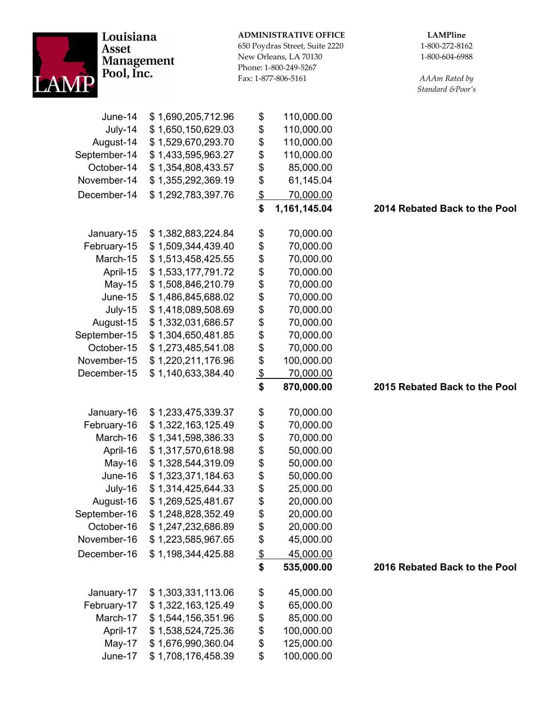| Louisiana<br><b>Asset</b><br><b>Management</b><br>Pool, Inc. |                                          |                                 | <b>ADMINISTRATIVE OFFICE</b><br>650 Poydras Street, Suite 2220<br>New Orleans, LA 70130<br>Phone: 1-800-249-5267<br>Fax: 1-877-806-5161 | <b>LAMPline</b><br>1-800-272-8162<br>1-800-604-6988<br>AAAm Rated by<br>Standard &Poor's |
|--------------------------------------------------------------|------------------------------------------|---------------------------------|-----------------------------------------------------------------------------------------------------------------------------------------|------------------------------------------------------------------------------------------|
| June-14                                                      | \$1,690,205,712.96                       | \$                              | 110,000.00                                                                                                                              |                                                                                          |
| July-14                                                      | \$1,650,150,629.03                       | \$                              | 110,000.00                                                                                                                              |                                                                                          |
| August-14                                                    | \$1,529,670,293.70                       | \$                              | 110,000.00                                                                                                                              |                                                                                          |
| September-14                                                 | \$1,433,595,963.27                       | \$                              | 110,000.00                                                                                                                              |                                                                                          |
| October-14                                                   | \$1,354,808,433.57                       | \$                              | 85,000.00                                                                                                                               |                                                                                          |
| November-14                                                  | \$1,355,292,369.19                       | \$                              | 61,145.04                                                                                                                               |                                                                                          |
| December-14                                                  | \$1,292,783,397.76                       | $\frac{1}{2}$                   | 70,000.00                                                                                                                               |                                                                                          |
|                                                              |                                          | \$                              | 1,161,145.04                                                                                                                            | 2014 Rebated Back to the Pool                                                            |
| January-15                                                   | \$1,382,883,224.84                       | \$                              | 70,000.00                                                                                                                               |                                                                                          |
| February-15                                                  | \$1,509,344,439.40                       | \$                              | 70,000.00                                                                                                                               |                                                                                          |
| March-15                                                     | \$1,513,458,425.55                       | \$                              | 70,000.00                                                                                                                               |                                                                                          |
| April-15                                                     | \$1,533,177,791.72                       | \$                              | 70,000.00                                                                                                                               |                                                                                          |
| May-15                                                       | \$1,508,846,210.79                       | \$                              | 70,000.00                                                                                                                               |                                                                                          |
| June-15                                                      | \$1,486,845,688.02                       | \$                              | 70,000.00                                                                                                                               |                                                                                          |
| July-15                                                      | \$1,418,089,508.69                       | \$                              | 70,000.00                                                                                                                               |                                                                                          |
| August-15                                                    | \$1,332,031,686.57                       | \$                              | 70,000.00                                                                                                                               |                                                                                          |
| September-15                                                 | \$1,304,650,481.85                       | \$                              | 70,000.00                                                                                                                               |                                                                                          |
| October-15                                                   | \$1,273,485,541.08                       | \$                              | 70,000.00                                                                                                                               |                                                                                          |
| November-15                                                  | \$1,220,211,176.96                       | \$                              | 100,000.00                                                                                                                              |                                                                                          |
| December-15                                                  | \$1,140,633,384.40                       | $\frac{1}{2}$                   | 70,000.00                                                                                                                               |                                                                                          |
|                                                              |                                          | \$                              | 870,000.00                                                                                                                              | 2015 Rebated Back to the Pool                                                            |
|                                                              |                                          |                                 |                                                                                                                                         |                                                                                          |
| January-16                                                   | \$1,233,475,339.37                       | \$                              | 70,000.00                                                                                                                               |                                                                                          |
| February-16                                                  | \$1,322,163,125.49                       | \$                              | 70,000.00                                                                                                                               |                                                                                          |
| March-16                                                     | \$1,341,598,386.33                       | \$<br>\$                        | 70,000.00                                                                                                                               |                                                                                          |
| April-16                                                     | \$1,317,570,618.98                       |                                 | 50,000.00                                                                                                                               |                                                                                          |
| May-16                                                       | \$1,328,544,319.09<br>\$1,323,371,184.63 | \$                              | 50,000.00<br>50,000.00                                                                                                                  |                                                                                          |
| June-16<br>July-16                                           | \$1,314,425,644.33                       | \$<br>\$                        | 25,000.00                                                                                                                               |                                                                                          |
| August-16                                                    | \$1,269,525,481.67                       |                                 | 20,000.00                                                                                                                               |                                                                                          |
| September-16                                                 | \$1,248,828,352.49                       | \$<br>\$                        | 20,000.00                                                                                                                               |                                                                                          |
| October-16                                                   | \$1,247,232,686.89                       | \$                              | 20,000.00                                                                                                                               |                                                                                          |
| November-16                                                  | \$1,223,585,967.65                       | \$                              | 45,000.00                                                                                                                               |                                                                                          |
| December-16                                                  | \$1,198,344,425.88                       |                                 |                                                                                                                                         |                                                                                          |
|                                                              |                                          | $\boldsymbol{\mathsf{S}}$<br>\$ | 45,000.00<br>535,000.00                                                                                                                 | 2016 Rebated Back to the Pool                                                            |
|                                                              |                                          |                                 |                                                                                                                                         |                                                                                          |
| January-17                                                   | \$1,303,331,113.06                       | \$                              | 45,000.00                                                                                                                               |                                                                                          |
| February-17                                                  | \$1,322,163,125.49                       | \$                              | 65,000.00                                                                                                                               |                                                                                          |
| March-17                                                     | \$1,544,156,351.96                       | \$                              | 85,000.00                                                                                                                               |                                                                                          |
| April-17                                                     | \$1,538,524,725.36                       | \$                              | 100,000.00                                                                                                                              |                                                                                          |
| May-17                                                       | \$1,676,990,360.04                       | \$                              | 125,000.00                                                                                                                              |                                                                                          |
| June-17                                                      | \$1,708,176,458.39                       | \$                              | 100,000.00                                                                                                                              |                                                                                          |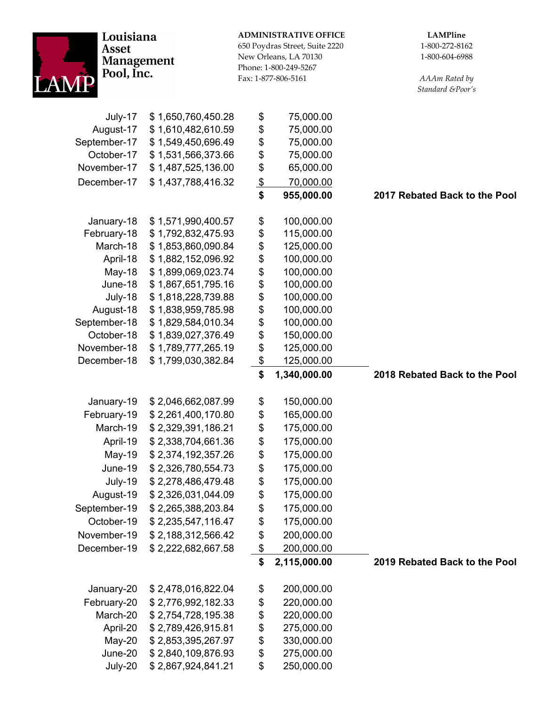| Louisiana<br><b>Asset</b><br><b>Management</b><br>Pool, Inc. |                                          |               | <b>ADMINISTRATIVE OFFICE</b><br>650 Poydras Street, Suite 2220<br>New Orleans, LA 70130<br>Phone: 1-800-249-5267<br>Fax: 1-877-806-5161 | <b>LAMPline</b><br>1-800-272-8162<br>1-800-604-6988<br>AAAm Rated by<br>Standard &Poor's |
|--------------------------------------------------------------|------------------------------------------|---------------|-----------------------------------------------------------------------------------------------------------------------------------------|------------------------------------------------------------------------------------------|
| July-17                                                      | \$1,650,760,450.28                       | \$            | 75,000.00                                                                                                                               |                                                                                          |
| August-17                                                    | \$1,610,482,610.59                       | \$            | 75,000.00                                                                                                                               |                                                                                          |
| September-17                                                 | \$1,549,450,696.49                       | \$            | 75,000.00                                                                                                                               |                                                                                          |
| October-17                                                   | \$1,531,566,373.66                       | \$            | 75,000.00                                                                                                                               |                                                                                          |
| November-17                                                  | \$1,487,525,136.00                       | \$            | 65,000.00                                                                                                                               |                                                                                          |
| December-17                                                  | \$1,437,788,416.32                       | $\frac{1}{2}$ | 70,000.00                                                                                                                               |                                                                                          |
|                                                              |                                          | \$            | 955,000.00                                                                                                                              | 2017 Rebated Back to the Pool                                                            |
| January-18                                                   | \$1,571,990,400.57                       | \$            | 100,000.00                                                                                                                              |                                                                                          |
| February-18                                                  | \$1,792,832,475.93                       | \$            | 115,000.00                                                                                                                              |                                                                                          |
| March-18                                                     | \$1,853,860,090.84                       | \$            | 125,000.00                                                                                                                              |                                                                                          |
| April-18                                                     | \$1,882,152,096.92                       | \$            | 100,000.00                                                                                                                              |                                                                                          |
| May-18                                                       | \$1,899,069,023.74                       | \$            | 100,000.00                                                                                                                              |                                                                                          |
| June-18                                                      | \$1,867,651,795.16                       | \$            | 100,000.00                                                                                                                              |                                                                                          |
| July-18                                                      | \$1,818,228,739.88                       | \$            | 100,000.00                                                                                                                              |                                                                                          |
| August-18                                                    | \$1,838,959,785.98                       | \$            | 100,000.00                                                                                                                              |                                                                                          |
| September-18<br>October-18                                   | \$1,829,584,010.34                       | \$<br>\$      | 100,000.00                                                                                                                              |                                                                                          |
| November-18                                                  | \$1,839,027,376.49<br>\$1,789,777,265.19 | \$            | 150,000.00<br>125,000.00                                                                                                                |                                                                                          |
| December-18                                                  | \$1,799,030,382.84                       | $\frac{1}{2}$ | 125,000.00                                                                                                                              |                                                                                          |
|                                                              |                                          | \$            | 1,340,000.00                                                                                                                            | 2018 Rebated Back to the Pool                                                            |
| January-19                                                   | \$2,046,662,087.99                       | \$            | 150,000.00                                                                                                                              |                                                                                          |
| February-19                                                  | \$2,261,400,170.80                       | \$            | 165,000.00                                                                                                                              |                                                                                          |
| March-19                                                     | \$2,329,391,186.21                       | \$            | 175,000.00                                                                                                                              |                                                                                          |
| April-19                                                     | \$2,338,704,661.36                       | \$            | 175,000.00                                                                                                                              |                                                                                          |
| May-19                                                       | \$2,374,192,357.26                       | \$            | 175,000.00                                                                                                                              |                                                                                          |
| June-19                                                      | \$2,326,780,554.73                       | \$            | 175,000.00                                                                                                                              |                                                                                          |
| July-19                                                      | \$2,278,486,479.48                       | \$            | 175,000.00                                                                                                                              |                                                                                          |
| August-19                                                    | \$2,326,031,044.09                       | \$            | 175,000.00                                                                                                                              |                                                                                          |
| September-19                                                 | \$2,265,388,203.84                       | \$            | 175,000.00                                                                                                                              |                                                                                          |
| October-19                                                   | \$2,235,547,116.47                       | \$            | 175,000.00                                                                                                                              |                                                                                          |
| November-19                                                  | \$2,188,312,566.42                       | \$            | 200,000.00                                                                                                                              |                                                                                          |
| December-19                                                  | \$2,222,682,667.58                       | \$            | 200,000.00                                                                                                                              |                                                                                          |
|                                                              |                                          | \$            | 2,115,000.00                                                                                                                            | 2019 Rebated Back to the Pool                                                            |
| January-20                                                   | \$2,478,016,822.04                       | \$            | 200,000.00                                                                                                                              |                                                                                          |
| February-20                                                  | \$2,776,992,182.33                       | \$            | 220,000.00                                                                                                                              |                                                                                          |
| March-20                                                     | \$2,754,728,195.38                       | \$            | 220,000.00                                                                                                                              |                                                                                          |
| April-20                                                     | \$2,789,426,915.81                       | \$            | 275,000.00                                                                                                                              |                                                                                          |
| May-20                                                       | \$2,853,395,267.97                       | \$            | 330,000.00                                                                                                                              |                                                                                          |
| June-20                                                      | \$2,840,109,876.93                       | \$            | 275,000.00                                                                                                                              |                                                                                          |
| July-20                                                      | \$2,867,924,841.21                       | \$            | 250,000.00                                                                                                                              |                                                                                          |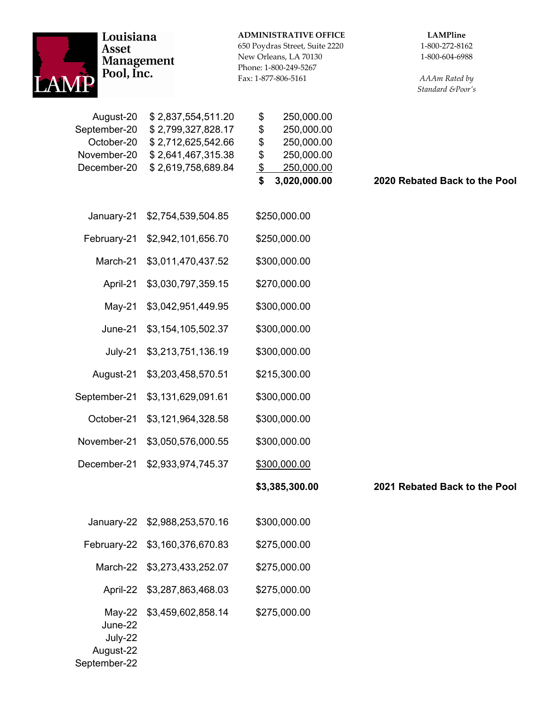| Louisiana<br><b>Asset</b><br><b>Management</b><br>Pool, Inc.          |                                                                                                            | <b>ADMINISTRATIVE OFFICE</b><br>650 Poydras Street, Suite 2220<br>New Orleans, LA 70130<br>Phone: 1-800-249-5267<br>Fax: 1-877-806-5161 | <b>LAMPline</b><br>1-800-272-8162<br>1-800-604-6988<br>AAAm Rated by<br>Standard &Poor's |
|-----------------------------------------------------------------------|------------------------------------------------------------------------------------------------------------|-----------------------------------------------------------------------------------------------------------------------------------------|------------------------------------------------------------------------------------------|
| August-20<br>September-20<br>October-20<br>November-20<br>December-20 | \$2,837,554,511.20<br>\$2,799,327,828.17<br>\$2,712,625,542.66<br>\$2,641,467,315.38<br>\$2,619,758,689.84 | \$<br>250,000.00<br>\$<br>250,000.00<br>\$<br>250,000.00<br>\$<br>250,000.00<br>$\frac{1}{2}$<br>250,000.00<br>\$<br>3,020,000.00       | 2020 Rebated Back to the Pool                                                            |
| January-21                                                            | \$2,754,539,504.85                                                                                         | \$250,000.00                                                                                                                            |                                                                                          |
| February-21                                                           | \$2,942,101,656.70                                                                                         | \$250,000.00                                                                                                                            |                                                                                          |
| March-21                                                              | \$3,011,470,437.52                                                                                         | \$300,000.00                                                                                                                            |                                                                                          |
| April-21                                                              | \$3,030,797,359.15                                                                                         | \$270,000.00                                                                                                                            |                                                                                          |
| $May-21$                                                              | \$3,042,951,449.95                                                                                         | \$300,000.00                                                                                                                            |                                                                                          |
| June-21                                                               | \$3,154,105,502.37                                                                                         | \$300,000.00                                                                                                                            |                                                                                          |
| July-21                                                               | \$3,213,751,136.19                                                                                         | \$300,000.00                                                                                                                            |                                                                                          |
| August-21                                                             | \$3,203,458,570.51                                                                                         | \$215,300.00                                                                                                                            |                                                                                          |
| September-21                                                          | \$3,131,629,091.61                                                                                         | \$300,000.00                                                                                                                            |                                                                                          |
| October-21                                                            | \$3,121,964,328.58                                                                                         | \$300,000.00                                                                                                                            |                                                                                          |
| November-21                                                           | \$3,050,576,000.55                                                                                         | \$300,000.00                                                                                                                            |                                                                                          |
| December-21                                                           | \$2,933,974,745.37                                                                                         | \$300,000.00                                                                                                                            |                                                                                          |
|                                                                       |                                                                                                            | \$3,385,300.00                                                                                                                          | 2021 Rebated Back to the Pool                                                            |
|                                                                       | January-22 \$2,988,253,570.16                                                                              | \$300,000.00                                                                                                                            |                                                                                          |
| February-22                                                           | \$3,160,376,670.83                                                                                         | \$275,000.00                                                                                                                            |                                                                                          |
| March-22<br>\$3,273,433,252.07                                        |                                                                                                            | \$275,000.00                                                                                                                            |                                                                                          |
|                                                                       | April-22 \$3,287,863,468.03                                                                                | \$275,000.00                                                                                                                            |                                                                                          |
| June-22<br>July-22<br>August-22<br>September-22                       | May-22 \$3,459,602,858.14                                                                                  | \$275,000.00                                                                                                                            |                                                                                          |